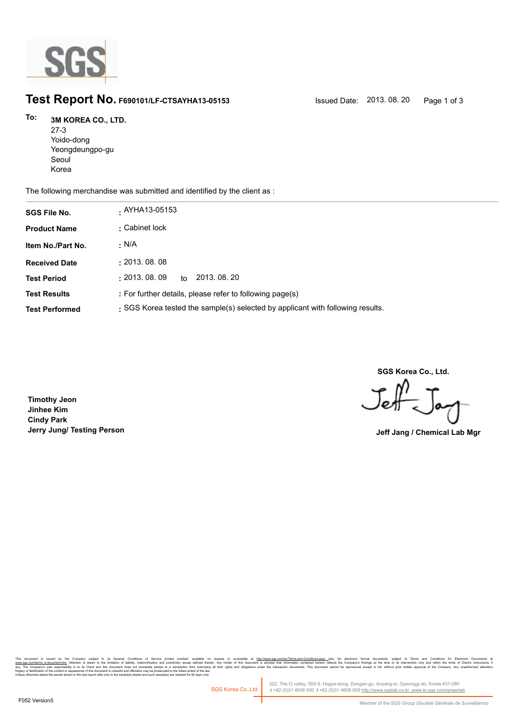

## **Test Report No. F690101/LF-CTSAYHA13-05153** Issued Date: 2013. 08. 20 Page 1 of 3

## **3M KOREA CO., LTD. To:**

| $27-3$          |  |
|-----------------|--|
| Yoido-dong      |  |
| Yeongdeungpo-gu |  |
| Seoul           |  |
| Korea           |  |

The following merchandise was submitted and identified by the client as :

| <b>SGS File No.</b>   | . AYHA13-05153                                                                 |
|-----------------------|--------------------------------------------------------------------------------|
| <b>Product Name</b>   | : Cabinet lock                                                                 |
| Item No./Part No.     | · N/A                                                                          |
| <b>Received Date</b>  | : 2013.08.08                                                                   |
| <b>Test Period</b>    | : 2013.08.09<br>2013, 08, 20<br>to                                             |
| <b>Test Results</b>   | : For further details, please refer to following page(s)                       |
| <b>Test Performed</b> | : SGS Korea tested the sample(s) selected by applicant with following results. |

**SGS Korea Co., Ltd.**

Jeff

**Timothy Jeon Jinhee Kim Cindy Park Jerry Jung/ Testing Person Jeff Jang / Chemical Lab Mgr**

Company subget to its General Conditions of Service primed overleaf, available on request or accessible at <u>http://www.sp.com/enfferms-and-Conditions.assx -</u>nd, for election is about the interest of the information and inf forgery or falsification of the content or appearance of this document is unlawful and offenders may be prosecuted to the fullest extent of the law.<br>Unless otherwise stated the results shown in this test report refer only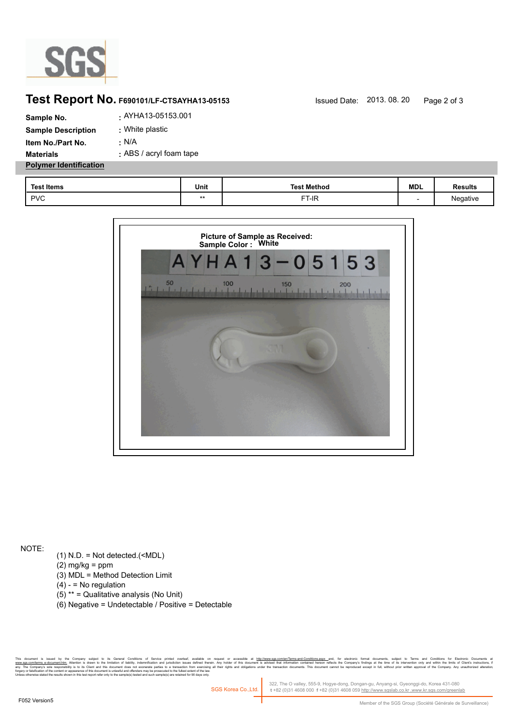

## **Test Report No.** F690101/LF-CTSAYHA13-05153 Issued Date: 2013. 08. 20 Page 2 of 3

| Sample No.                    | . AYHA13-05153.001      |
|-------------------------------|-------------------------|
| <b>Sample Description</b>     | : White plastic         |
| Item No./Part No.             | : N/A                   |
| <b>Materials</b>              | : ABS / acryl foam tape |
| <b>Polymer Identification</b> |                         |

| <b>Test Items</b> | Unit     | <b>Test Method</b> | <b>MDL</b> | <b>Results</b> |
|-------------------|----------|--------------------|------------|----------------|
| <b>PVC</b>        | ٠<br>. . | FT-IR              |            | Negative       |



NOTE:

- (1) N.D. = Not detected.(<MDL)
- $(2)$  mg/kg = ppm
- (3) MDL = Method Detection Limit
- $(4) -$  = No regulation
- (5) \*\* = Qualitative analysis (No Unit)
- (6) Negative = Undetectable / Positive = Detectable

Company subject to its General Conditions of Service prime overleat, available on request or accessible at h<u>ttp:/www.ses.compen/emis-associe</u>d methindical conditions assume that we electrical conditions and interpret in t forgery or falsification of the content or appearance of this document is unlawful and offenders may be prosecuted to the fullest extent of the law.<br>Unless otherwise stated the results shown in this test report refer only